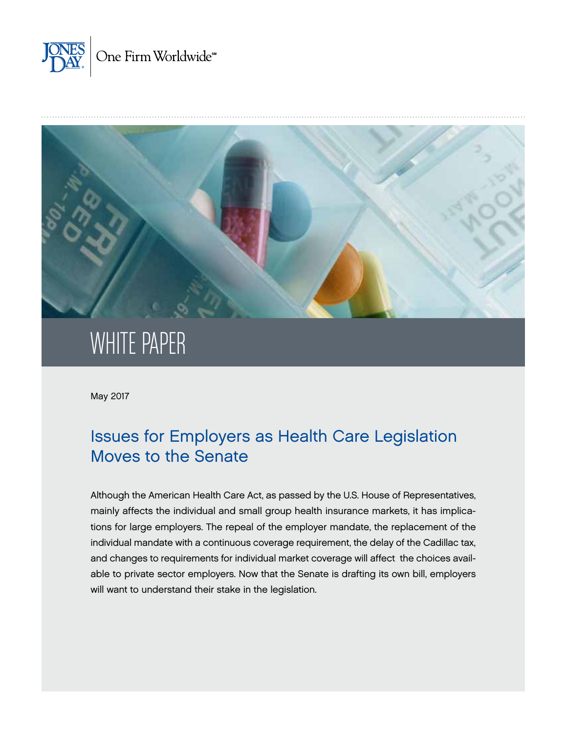



# WHITE PAPER

May 2017

# Issues for Employers as Health Care Legislation Moves to the Senate

Although the American Health Care Act, as passed by the U.S. House of Representatives, mainly affects the individual and small group health insurance markets, it has implications for large employers. The repeal of the employer mandate, the replacement of the individual mandate with a continuous coverage requirement, the delay of the Cadillac tax, and changes to requirements for individual market coverage will affect the choices available to private sector employers. Now that the Senate is drafting its own bill, employers will want to understand their stake in the legislation.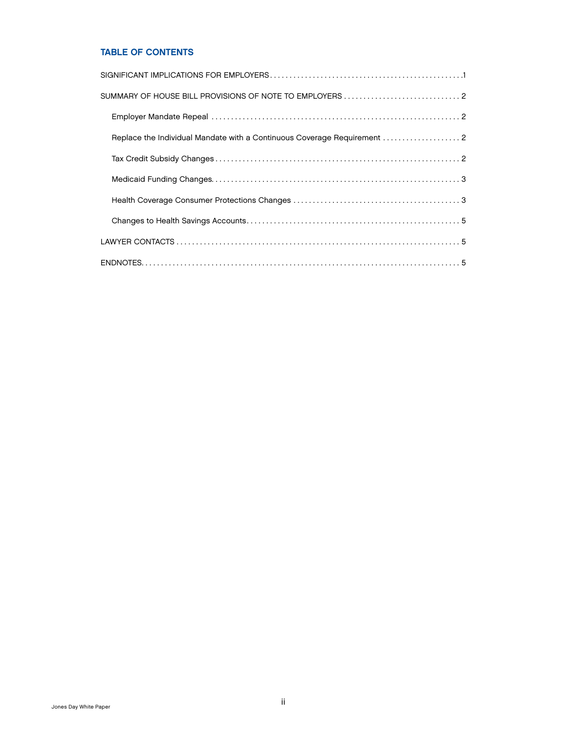# TABLE OF CONTENTS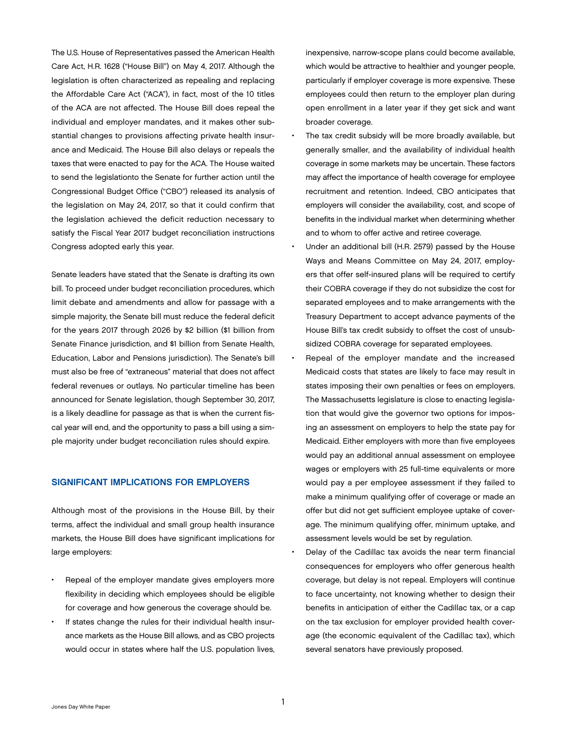<span id="page-2-0"></span>The U.S. House of Representatives passed the American Health Care Act, H.R. 1628 ("House Bill") on May 4, 2017. Although the legislation is often characterized as repealing and replacing the Affordable Care Act ("ACA"), in fact, most of the 10 titles of the ACA are not affected. The House Bill does repeal the individual and employer mandates, and it makes other substantial changes to provisions affecting private health insurance and Medicaid. The House Bill also delays or repeals the taxes that were enacted to pay for the ACA. The House waited to send the legislationto the Senate for further action until the Congressional Budget Office ("CBO") released its analysis of the legislation on May 24, 2017, so that it could confirm that the legislation achieved the deficit reduction necessary to satisfy the Fiscal Year 2017 budget reconciliation instructions Congress adopted early this year.

Senate leaders have stated that the Senate is drafting its own bill. To proceed under budget reconciliation procedures, which limit debate and amendments and allow for passage with a simple majority, the Senate bill must reduce the federal deficit for the years 2017 through 2026 by \$2 billion (\$1 billion from Senate Finance jurisdiction, and \$1 billion from Senate Health, Education, Labor and Pensions jurisdiction). The Senate's bill must also be free of "extraneous" material that does not affect federal revenues or outlays. No particular timeline has been announced for Senate legislation, though September 30, 2017, is a likely deadline for passage as that is when the current fiscal year will end, and the opportunity to pass a bill using a simple majority under budget reconciliation rules should expire.

### SIGNIFICANT IMPLICATIONS FOR EMPLOYERS

Although most of the provisions in the House Bill, by their terms, affect the individual and small group health insurance markets, the House Bill does have significant implications for large employers:

- Repeal of the employer mandate gives employers more flexibility in deciding which employees should be eligible for coverage and how generous the coverage should be.
- If states change the rules for their individual health insurance markets as the House Bill allows, and as CBO projects would occur in states where half the U.S. population lives,

inexpensive, narrow-scope plans could become available, which would be attractive to healthier and younger people, particularly if employer coverage is more expensive. These employees could then return to the employer plan during open enrollment in a later year if they get sick and want broader coverage.

- The tax credit subsidy will be more broadly available, but generally smaller, and the availability of individual health coverage in some markets may be uncertain. These factors may affect the importance of health coverage for employee recruitment and retention. Indeed, CBO anticipates that employers will consider the availability, cost, and scope of benefits in the individual market when determining whether and to whom to offer active and retiree coverage.
- Under an additional bill (H.R. 2579) passed by the House Ways and Means Committee on May 24, 2017, employers that offer self-insured plans will be required to certify their COBRA coverage if they do not subsidize the cost for separated employees and to make arrangements with the Treasury Department to accept advance payments of the House Bill's tax credit subsidy to offset the cost of unsubsidized COBRA coverage for separated employees.
- Repeal of the employer mandate and the increased Medicaid costs that states are likely to face may result in states imposing their own penalties or fees on employers. The Massachusetts legislature is close to enacting legislation that would give the governor two options for imposing an assessment on employers to help the state pay for Medicaid. Either employers with more than five employees would pay an additional annual assessment on employee wages or employers with 25 full-time equivalents or more would pay a per employee assessment if they failed to make a minimum qualifying offer of coverage or made an offer but did not get sufficient employee uptake of coverage. The minimum qualifying offer, minimum uptake, and assessment levels would be set by regulation.
- Delay of the Cadillac tax avoids the near term financial consequences for employers who offer generous health coverage, but delay is not repeal. Employers will continue to face uncertainty, not knowing whether to design their benefits in anticipation of either the Cadillac tax, or a cap on the tax exclusion for employer provided health coverage (the economic equivalent of the Cadillac tax), which several senators have previously proposed.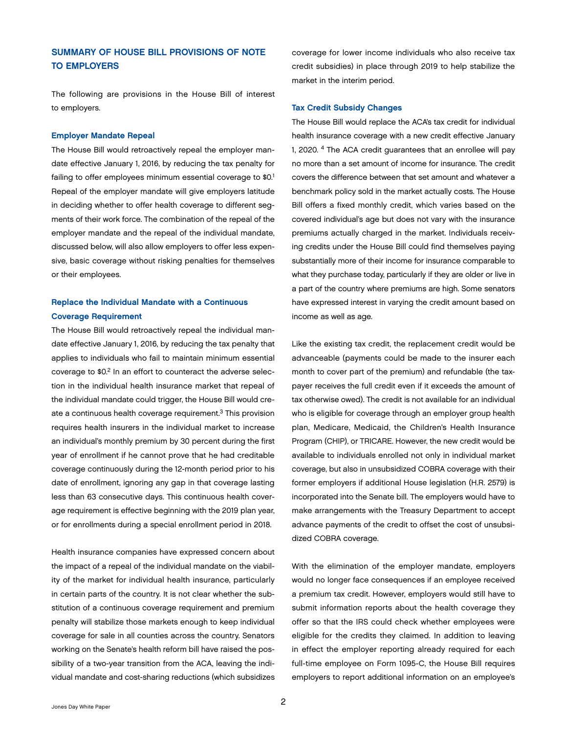# <span id="page-3-0"></span>SUMMARY OF HOUSE BILL PROVISIONS OF NOTE TO EMPLOYERS

The following are provisions in the House Bill of interest to employers.

#### Employer Mandate Repeal

The House Bill would retroactively repeal the employer mandate effective January 1, 2016, by reducing the tax penalty for failing to offer employees minimum essential coverage to \$0.1 Repeal of the employer mandate will give employers latitude in deciding whether to offer health coverage to different segments of their work force. The combination of the repeal of the employer mandate and the repeal of the individual mandate, discussed below, will also allow employers to offer less expensive, basic coverage without risking penalties for themselves or their employees.

# Replace the Individual Mandate with a Continuous Coverage Requirement

The House Bill would retroactively repeal the individual mandate effective January 1, 2016, by reducing the tax penalty that applies to individuals who fail to maintain minimum essential coverage to \$0.2 In an effort to counteract the adverse selection in the individual health insurance market that repeal of the individual mandate could trigger, the House Bill would create a continuous health coverage requirement.3 This provision requires health insurers in the individual market to increase an individual's monthly premium by 30 percent during the first year of enrollment if he cannot prove that he had creditable coverage continuously during the 12-month period prior to his date of enrollment, ignoring any gap in that coverage lasting less than 63 consecutive days. This continuous health coverage requirement is effective beginning with the 2019 plan year, or for enrollments during a special enrollment period in 2018.

Health insurance companies have expressed concern about the impact of a repeal of the individual mandate on the viability of the market for individual health insurance, particularly in certain parts of the country. It is not clear whether the substitution of a continuous coverage requirement and premium penalty will stabilize those markets enough to keep individual coverage for sale in all counties across the country. Senators working on the Senate's health reform bill have raised the possibility of a two-year transition from the ACA, leaving the individual mandate and cost-sharing reductions (which subsidizes

coverage for lower income individuals who also receive tax credit subsidies) in place through 2019 to help stabilize the market in the interim period.

#### Tax Credit Subsidy Changes

The House Bill would replace the ACA's tax credit for individual health insurance coverage with a new credit effective January 1, 2020. 4 The ACA credit guarantees that an enrollee will pay no more than a set amount of income for insurance. The credit covers the difference between that set amount and whatever a benchmark policy sold in the market actually costs. The House Bill offers a fixed monthly credit, which varies based on the covered individual's age but does not vary with the insurance premiums actually charged in the market. Individuals receiving credits under the House Bill could find themselves paying substantially more of their income for insurance comparable to what they purchase today, particularly if they are older or live in a part of the country where premiums are high. Some senators have expressed interest in varying the credit amount based on income as well as age.

Like the existing tax credit, the replacement credit would be advanceable (payments could be made to the insurer each month to cover part of the premium) and refundable (the taxpayer receives the full credit even if it exceeds the amount of tax otherwise owed). The credit is not available for an individual who is eligible for coverage through an employer group health plan, Medicare, Medicaid, the Children's Health Insurance Program (CHIP), or TRICARE. However, the new credit would be available to individuals enrolled not only in individual market coverage, but also in unsubsidized COBRA coverage with their former employers if additional House legislation (H.R. 2579) is incorporated into the Senate bill. The employers would have to make arrangements with the Treasury Department to accept advance payments of the credit to offset the cost of unsubsidized COBRA coverage.

With the elimination of the employer mandate, employers would no longer face consequences if an employee received a premium tax credit. However, employers would still have to submit information reports about the health coverage they offer so that the IRS could check whether employees were eligible for the credits they claimed. In addition to leaving in effect the employer reporting already required for each full-time employee on Form 1095-C, the House Bill requires employers to report additional information on an employee's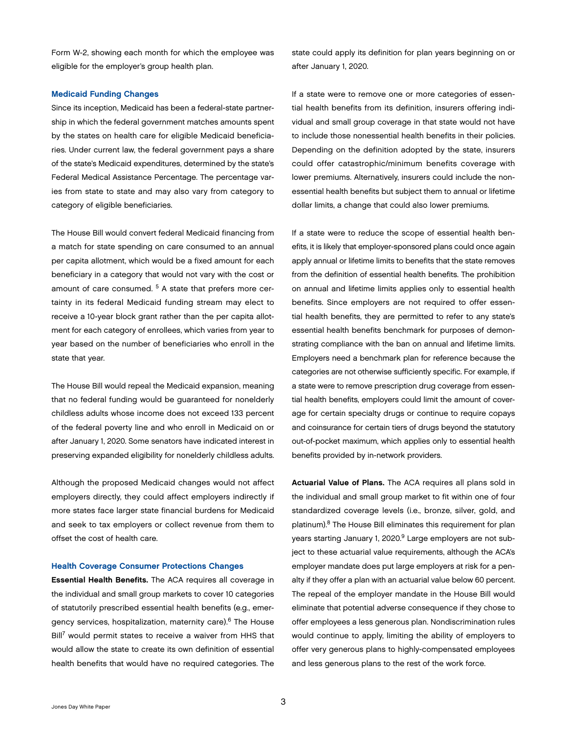<span id="page-4-0"></span>Form W-2, showing each month for which the employee was eligible for the employer's group health plan.

#### Medicaid Funding Changes

Since its inception, Medicaid has been a federal-state partnership in which the federal government matches amounts spent by the states on health care for eligible Medicaid beneficiaries. Under current law, the federal government pays a share of the state's Medicaid expenditures, determined by the state's Federal Medical Assistance Percentage. The percentage varies from state to state and may also vary from category to category of eligible beneficiaries.

The House Bill would convert federal Medicaid financing from a match for state spending on care consumed to an annual per capita allotment, which would be a fixed amount for each beneficiary in a category that would not vary with the cost or amount of care consumed. <sup>5</sup> A state that prefers more certainty in its federal Medicaid funding stream may elect to receive a 10-year block grant rather than the per capita allotment for each category of enrollees, which varies from year to year based on the number of beneficiaries who enroll in the state that year.

The House Bill would repeal the Medicaid expansion, meaning that no federal funding would be guaranteed for nonelderly childless adults whose income does not exceed 133 percent of the federal poverty line and who enroll in Medicaid on or after January 1, 2020. Some senators have indicated interest in preserving expanded eligibility for nonelderly childless adults.

Although the proposed Medicaid changes would not affect employers directly, they could affect employers indirectly if more states face larger state financial burdens for Medicaid and seek to tax employers or collect revenue from them to offset the cost of health care.

#### Health Coverage Consumer Protections Changes

Essential Health Benefits. The ACA requires all coverage in the individual and small group markets to cover 10 categories of statutorily prescribed essential health benefits (e.g., emergency services, hospitalization, maternity care).6 The House Bill7 would permit states to receive a waiver from HHS that would allow the state to create its own definition of essential health benefits that would have no required categories. The

state could apply its definition for plan years beginning on or after January 1, 2020.

If a state were to remove one or more categories of essential health benefits from its definition, insurers offering individual and small group coverage in that state would not have to include those nonessential health benefits in their policies. Depending on the definition adopted by the state, insurers could offer catastrophic/minimum benefits coverage with lower premiums. Alternatively, insurers could include the nonessential health benefits but subject them to annual or lifetime dollar limits, a change that could also lower premiums.

If a state were to reduce the scope of essential health benefits, it is likely that employer-sponsored plans could once again apply annual or lifetime limits to benefits that the state removes from the definition of essential health benefits. The prohibition on annual and lifetime limits applies only to essential health benefits. Since employers are not required to offer essential health benefits, they are permitted to refer to any state's essential health benefits benchmark for purposes of demonstrating compliance with the ban on annual and lifetime limits. Employers need a benchmark plan for reference because the categories are not otherwise sufficiently specific. For example, if a state were to remove prescription drug coverage from essential health benefits, employers could limit the amount of coverage for certain specialty drugs or continue to require copays and coinsurance for certain tiers of drugs beyond the statutory out-of-pocket maximum, which applies only to essential health benefits provided by in-network providers.

Actuarial Value of Plans. The ACA requires all plans sold in the individual and small group market to fit within one of four standardized coverage levels (i.e., bronze, silver, gold, and platinum).8 The House Bill eliminates this requirement for plan years starting January 1, 2020.<sup>9</sup> Large employers are not subject to these actuarial value requirements, although the ACA's employer mandate does put large employers at risk for a penalty if they offer a plan with an actuarial value below 60 percent. The repeal of the employer mandate in the House Bill would eliminate that potential adverse consequence if they chose to offer employees a less generous plan. Nondiscrimination rules would continue to apply, limiting the ability of employers to offer very generous plans to highly-compensated employees and less generous plans to the rest of the work force.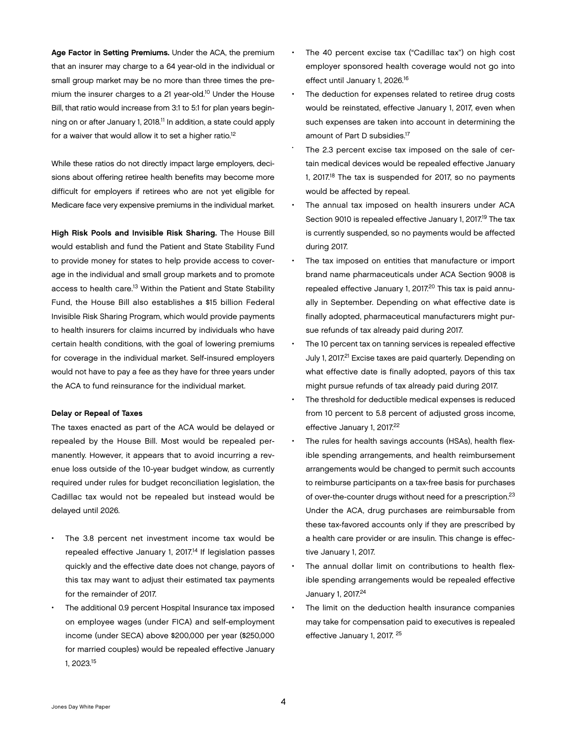Age Factor in Setting Premiums. Under the ACA, the premium that an insurer may charge to a 64 year-old in the individual or small group market may be no more than three times the premium the insurer charges to a 21 year-old.10 Under the House Bill, that ratio would increase from 3:1 to 5:1 for plan years beginning on or after January 1, 2018.11 In addition, a state could apply for a waiver that would allow it to set a higher ratio.<sup>12</sup>

While these ratios do not directly impact large employers, decisions about offering retiree health benefits may become more difficult for employers if retirees who are not yet eligible for Medicare face very expensive premiums in the individual market.

High Risk Pools and Invisible Risk Sharing. The House Bill would establish and fund the Patient and State Stability Fund to provide money for states to help provide access to coverage in the individual and small group markets and to promote access to health care.<sup>13</sup> Within the Patient and State Stability Fund, the House Bill also establishes a \$15 billion Federal Invisible Risk Sharing Program, which would provide payments to health insurers for claims incurred by individuals who have certain health conditions, with the goal of lowering premiums for coverage in the individual market. Self-insured employers would not have to pay a fee as they have for three years under the ACA to fund reinsurance for the individual market.

#### Delay or Repeal of Taxes

The taxes enacted as part of the ACA would be delayed or repealed by the House Bill. Most would be repealed permanently. However, it appears that to avoid incurring a revenue loss outside of the 10-year budget window, as currently required under rules for budget reconciliation legislation, the Cadillac tax would not be repealed but instead would be delayed until 2026.

- The 3.8 percent net investment income tax would be repealed effective January 1, 2017.<sup>14</sup> If legislation passes quickly and the effective date does not change, payors of this tax may want to adjust their estimated tax payments for the remainder of 2017.
- The additional 0.9 percent Hospital Insurance tax imposed on employee wages (under FICA) and self-employment income (under SECA) above \$200,000 per year (\$250,000 for married couples) would be repealed effective January 1, 2023.15
- The 40 percent excise tax ("Cadillac tax") on high cost employer sponsored health coverage would not go into effect until January 1, 2026.16
- The deduction for expenses related to retiree drug costs would be reinstated, effective January 1, 2017, even when such expenses are taken into account in determining the amount of Part D subsidies.17
- The 2.3 percent excise tax imposed on the sale of certain medical devices would be repealed effective January 1, 2017.<sup>18</sup> The tax is suspended for 2017, so no payments would be affected by repeal.
- The annual tax imposed on health insurers under ACA Section 9010 is repealed effective January 1, 2017.<sup>19</sup> The tax is currently suspended, so no payments would be affected during 2017.
- The tax imposed on entities that manufacture or import brand name pharmaceuticals under ACA Section 9008 is repealed effective January 1, 2017.<sup>20</sup> This tax is paid annually in September. Depending on what effective date is finally adopted, pharmaceutical manufacturers might pursue refunds of tax already paid during 2017.
- The 10 percent tax on tanning services is repealed effective July 1, 2017.<sup>21</sup> Excise taxes are paid quarterly. Depending on what effective date is finally adopted, payors of this tax might pursue refunds of tax already paid during 2017.
- The threshold for deductible medical expenses is reduced from 10 percent to 5.8 percent of adjusted gross income, effective January 1, 2017.<sup>22</sup>
- The rules for health savings accounts (HSAs), health flexible spending arrangements, and health reimbursement arrangements would be changed to permit such accounts to reimburse participants on a tax-free basis for purchases of over-the-counter drugs without need for a prescription.<sup>23</sup> Under the ACA, drug purchases are reimbursable from these tax-favored accounts only if they are prescribed by a health care provider or are insulin. This change is effective January 1, 2017.
- The annual dollar limit on contributions to health flexible spending arrangements would be repealed effective January 1, 2017.<sup>24</sup>
- The limit on the deduction health insurance companies may take for compensation paid to executives is repealed effective January 1, 2017. 25